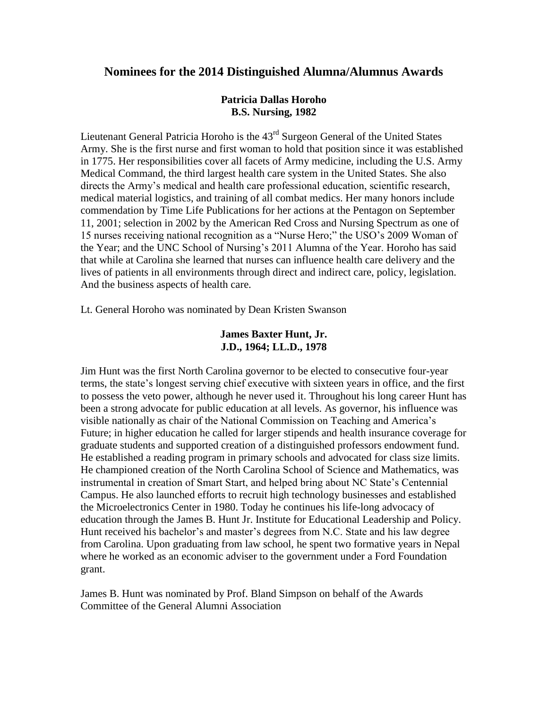# **Nominees for the 2014 Distinguished Alumna/Alumnus Awards**

## **Patricia Dallas Horoho B.S. Nursing, 1982**

Lieutenant General Patricia Horoho is the  $43<sup>rd</sup>$  Surgeon General of the United States Army. She is the first nurse and first woman to hold that position since it was established in 1775. Her responsibilities cover all facets of Army medicine, including the U.S. Army Medical Command, the third largest health care system in the United States. She also directs the Army's medical and health care professional education, scientific research, medical material logistics, and training of all combat medics. Her many honors include commendation by Time Life Publications for her actions at the Pentagon on September 11, 2001; selection in 2002 by the American Red Cross and Nursing Spectrum as one of 15 nurses receiving national recognition as a "Nurse Hero;" the USO's 2009 Woman of the Year; and the UNC School of Nursing's 2011 Alumna of the Year. Horoho has said that while at Carolina she learned that nurses can influence health care delivery and the lives of patients in all environments through direct and indirect care, policy, legislation. And the business aspects of health care.

Lt. General Horoho was nominated by Dean Kristen Swanson

## **James Baxter Hunt, Jr. J.D., 1964; LL.D., 1978**

Jim Hunt was the first North Carolina governor to be elected to consecutive four-year terms, the state's longest serving chief executive with sixteen years in office, and the first to possess the veto power, although he never used it. Throughout his long career Hunt has been a strong advocate for public education at all levels. As governor, his influence was visible nationally as chair of the National Commission on Teaching and America's Future; in higher education he called for larger stipends and health insurance coverage for graduate students and supported creation of a distinguished professors endowment fund. He established a reading program in primary schools and advocated for class size limits. He championed creation of the North Carolina School of Science and Mathematics, was instrumental in creation of Smart Start, and helped bring about NC State's Centennial Campus. He also launched efforts to recruit high technology businesses and established the Microelectronics Center in 1980. Today he continues his life-long advocacy of education through the James B. Hunt Jr. Institute for Educational Leadership and Policy. Hunt received his bachelor's and master's degrees from N.C. State and his law degree from Carolina. Upon graduating from law school, he spent two formative years in Nepal where he worked as an economic adviser to the government under a Ford Foundation grant.

James B. Hunt was nominated by Prof. Bland Simpson on behalf of the Awards Committee of the General Alumni Association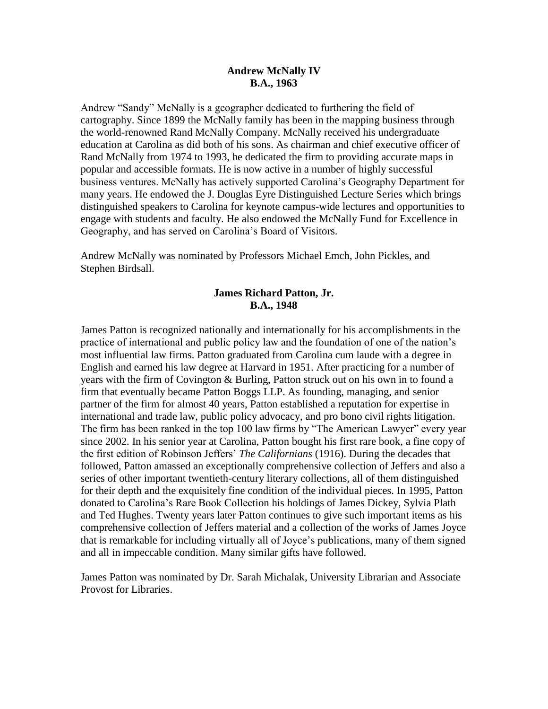## **Andrew McNally IV B.A., 1963**

Andrew "Sandy" McNally is a geographer dedicated to furthering the field of cartography. Since 1899 the McNally family has been in the mapping business through the world-renowned Rand McNally Company. McNally received his undergraduate education at Carolina as did both of his sons. As chairman and chief executive officer of Rand McNally from 1974 to 1993, he dedicated the firm to providing accurate maps in popular and accessible formats. He is now active in a number of highly successful business ventures. McNally has actively supported Carolina's Geography Department for many years. He endowed the J. Douglas Eyre Distinguished Lecture Series which brings distinguished speakers to Carolina for keynote campus-wide lectures and opportunities to engage with students and faculty. He also endowed the McNally Fund for Excellence in Geography, and has served on Carolina's Board of Visitors.

Andrew McNally was nominated by Professors Michael Emch, John Pickles, and Stephen Birdsall.

## **James Richard Patton, Jr. B.A., 1948**

James Patton is recognized nationally and internationally for his accomplishments in the practice of international and public policy law and the foundation of one of the nation's most influential law firms. Patton graduated from Carolina cum laude with a degree in English and earned his law degree at Harvard in 1951. After practicing for a number of years with the firm of Covington & Burling, Patton struck out on his own in to found a firm that eventually became Patton Boggs LLP. As founding, managing, and senior partner of the firm for almost 40 years, Patton established a reputation for expertise in international and trade law, public policy advocacy, and pro bono civil rights litigation. The firm has been ranked in the top 100 law firms by "The American Lawyer" every year since 2002. In his senior year at Carolina, Patton bought his first rare book, a fine copy of the first edition of Robinson Jeffers' *The Californians* (1916). During the decades that followed, Patton amassed an exceptionally comprehensive collection of Jeffers and also a series of other important twentieth-century literary collections, all of them distinguished for their depth and the exquisitely fine condition of the individual pieces. In 1995, Patton donated to Carolina's Rare Book Collection his holdings of James Dickey, Sylvia Plath and Ted Hughes. Twenty years later Patton continues to give such important items as his comprehensive collection of Jeffers material and a collection of the works of James Joyce that is remarkable for including virtually all of Joyce's publications, many of them signed and all in impeccable condition. Many similar gifts have followed.

James Patton was nominated by Dr. Sarah Michalak, University Librarian and Associate Provost for Libraries.